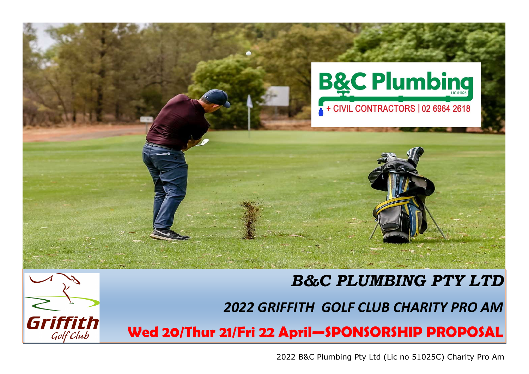

# *B&C PLUMBING PTY LTD*



*2022 GRIFFITH GOLF CLUB CHARITY PRO AM*

**Wed 20/Thur 21/Fri 22 April—SPONSORSHIP PROPOSAL**

2022 B&C Plumbing Pty Ltd (Lic no 51025C) Charity Pro Am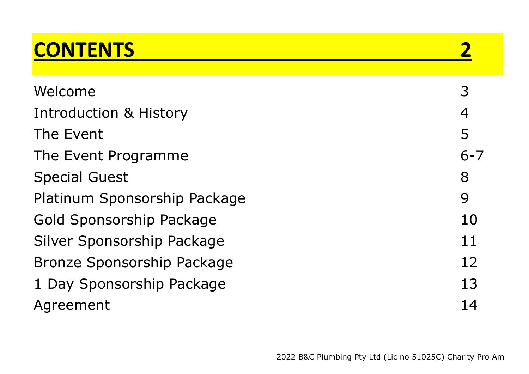## **CONTENTS 2**

| 3              |
|----------------|
| $\overline{4}$ |
| 5              |
| $6 - 7$        |
| 8              |
| 9              |
| 10             |
| 11             |
| 12             |
| 13             |
| 14             |
|                |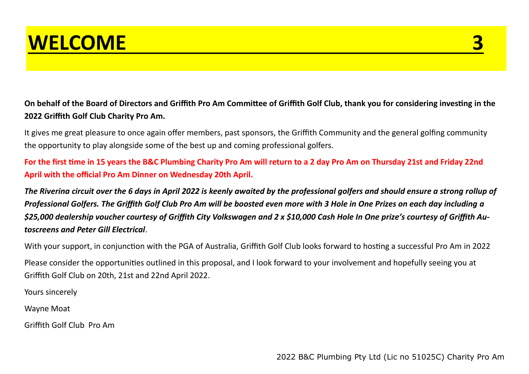

**On behalf of the Board of Directors and Griffith Pro Am Committee of Griffith Golf Club, thank you for considering investing in the 2022 Griffith Golf Club Charity Pro Am.**

It gives me great pleasure to once again offer members, past sponsors, the Griffith Community and the general golfing community the opportunity to play alongside some of the best up and coming professional golfers.

**For the first time in 15 years the B&C Plumbing Charity Pro Am will return to a 2 day Pro Am on Thursday 21st and Friday 22nd April with the official Pro Am Dinner on Wednesday 20th April.**

*The Riverina circuit over the 6 days in April 2022 is keenly awaited by the professional golfers and should ensure a strong rollup of Professional Golfers. The Griffith Golf Club Pro Am will be boosted even more with 3 Hole in One Prizes on each day including a \$25,000 dealership voucher courtesy of Griffith City Volkswagen and 2 x \$10,000 Cash Hole In One prize's courtesy of Griffith Autoscreens and Peter Gill Electrical*.

With your support, in conjunction with the PGA of Australia, Griffith Golf Club looks forward to hosting a successful Pro Am in 2022

Please consider the opportunities outlined in this proposal, and I look forward to your involvement and hopefully seeing you at Griffith Golf Club on 20th, 21st and 22nd April 2022.

Yours sincerely

Wayne Moat

Griffith Golf Club Pro Am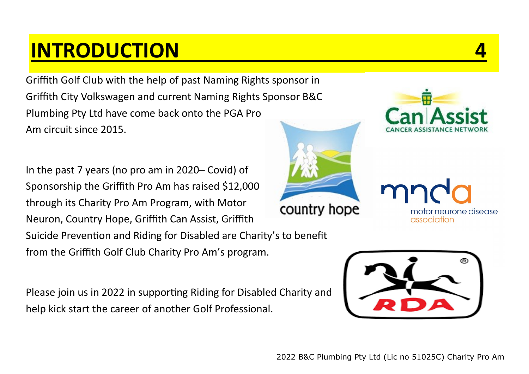### **INTRODUCTION 4**

Griffith Golf Club with the help of past Naming Rights sponsor in Griffith City Volkswagen and current Naming Rights Sponsor B&C Plumbing Pty Ltd have come back onto the PGA Pro Am circuit since 2015.

In the past 7 years (no pro am in 2020– Covid) of Sponsorship the Griffith Pro Am has raised \$12,000 through its Charity Pro Am Program, with Motor country hope Neuron, Country Hope, Griffith Can Assist, Griffith Suicide Prevention and Riding for Disabled are Charity's to benefit from the Griffith Golf Club Charity Pro Am's program.

Please join us in 2022 in supporting Riding for Disabled Charity and help kick start the career of another Golf Professional.





motor neurone disease

association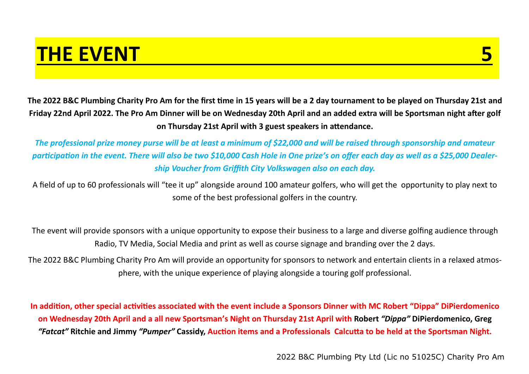#### **THE EVENT**

**The 2022 B&C Plumbing Charity Pro Am for the first time in 15 years will be a 2 day tournament to be played on Thursday 21st and Friday 22nd April 2022. The Pro Am Dinner will be on Wednesday 20th April and an added extra will be Sportsman night after golf on Thursday 21st April with 3 guest speakers in attendance.**

*The professional prize money purse will be at least a minimum of \$22,000 and will be raised through sponsorship and amateur participation in the event. There will also be two \$10,000 Cash Hole in One prize's on offer each day as well as a \$25,000 Dealership Voucher from Griffith City Volkswagen also on each day.*

A field of up to 60 professionals will "tee it up" alongside around 100 amateur golfers, who will get the opportunity to play next to some of the best professional golfers in the country.

The event will provide sponsors with a unique opportunity to expose their business to a large and diverse golfing audience through Radio, TV Media, Social Media and print as well as course signage and branding over the 2 days.

The 2022 B&C Plumbing Charity Pro Am will provide an opportunity for sponsors to network and entertain clients in a relaxed atmosphere, with the unique experience of playing alongside a touring golf professional.

**In addition, other special activities associated with the event include a Sponsors Dinner with MC Robert "Dippa" DiPierdomenico on Wednesday 20th April and a all new Sportsman's Night on Thursday 21st April with Robert** *"Dippa"* **DiPierdomenico, Greg**  *"Fatcat"* **Ritchie and Jimmy** *"Pumper"* **Cassidy, Auction items and a Professionals Calcutta to be held at the Sportsman Night.**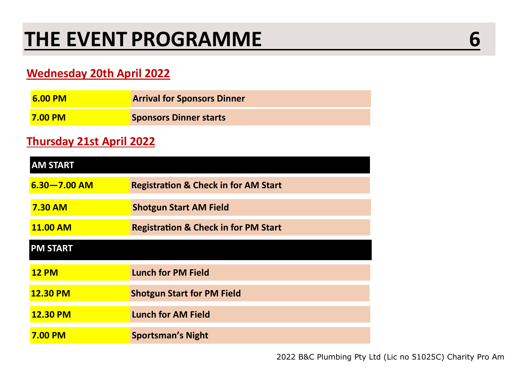#### **Wednesday 20th April 2022**

| <b>6.00 PM</b> | <b>Arrival for Sponsors Dinner</b> |
|----------------|------------------------------------|
| <b>7.00 PM</b> | <b>Sponsors Dinner starts</b>      |

#### **Thursday 21st April 2022**

| <b>AM START</b>  |                                                 |  |  |  |
|------------------|-------------------------------------------------|--|--|--|
| $6.30 - 7.00$ AM | <b>Registration &amp; Check in for AM Start</b> |  |  |  |
| <b>7.30 AM</b>   | <b>Shotgun Start AM Field</b>                   |  |  |  |
| <b>11.00 AM</b>  | <b>Registration &amp; Check in for PM Start</b> |  |  |  |
| <b>PM START</b>  |                                                 |  |  |  |
| <b>12 PM</b>     | <b>Lunch for PM Field</b>                       |  |  |  |
| <b>12.30 PM</b>  | <b>Shotgun Start for PM Field</b>               |  |  |  |
| <b>12.30 PM</b>  | <b>Lunch for AM Field</b>                       |  |  |  |
| <b>7.00 PM</b>   | <b>Sportsman's Night</b>                        |  |  |  |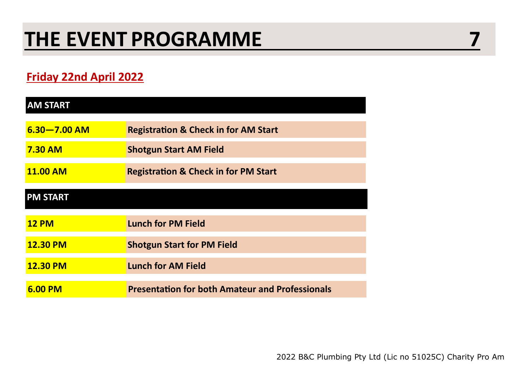#### **Friday 22nd April 2022**

| <b>AM START</b>  |                                                        |
|------------------|--------------------------------------------------------|
| $6.30 - 7.00$ AM | <b>Registration &amp; Check in for AM Start</b>        |
| <b>7.30 AM</b>   | <b>Shotgun Start AM Field</b>                          |
| <b>11.00 AM</b>  | <b>Registration &amp; Check in for PM Start</b>        |
| <b>PM START</b>  |                                                        |
| <b>12 PM</b>     | <b>Lunch for PM Field</b>                              |
| <b>12.30 PM</b>  | <b>Shotgun Start for PM Field</b>                      |
| <b>12.30 PM</b>  | <b>Lunch for AM Field</b>                              |
| 6.00 PM          | <b>Presentation for both Amateur and Professionals</b> |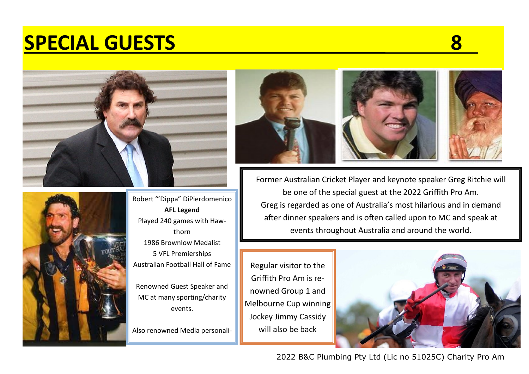### **SPECIAL GUESTS 8**





Robert '"Dippa" DiPierdomenico **AFL Legend** Played 240 games with Hawthorn 1986 Brownlow Medalist 5 VFL Premierships Australian Football Hall of Fame

Renowned Guest Speaker and MC at many sporting/charity events.

Also renowned Media personali-



Former Australian Cricket Player and keynote speaker Greg Ritchie will be one of the special guest at the 2022 Griffith Pro Am. Greg is regarded as one of Australia's most hilarious and in demand after dinner speakers and is often called upon to MC and speak at events throughout Australia and around the world.

Regular visitor to the Griffith Pro Am is renowned Group 1 and Melbourne Cup winning Jockey Jimmy Cassidy will also be back



2022 B&C Plumbing Pty Ltd (Lic no 51025C) Charity Pro Am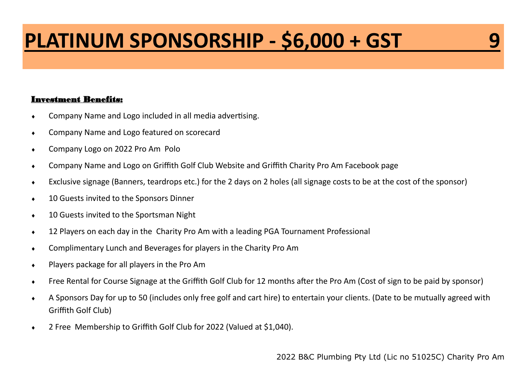## **PLATINUM SPONSORSHIP - \$6,000 + GST 9**

- Company Name and Logo included in all media advertising.
- **Company Name and Logo featured on scorecard**
- Company Logo on 2022 Pro Am Polo
- Company Name and Logo on Griffith Golf Club Website and Griffith Charity Pro Am Facebook page
- Exclusive signage (Banners, teardrops etc.) for the 2 days on 2 holes (all signage costs to be at the cost of the sponsor)
- $\leftarrow$  10 Guests invited to the Sponsors Dinner
- ◆ 10 Guests invited to the Sportsman Night
- 12 Players on each day in the Charity Pro Am with a leading PGA Tournament Professional
- Complimentary Lunch and Beverages for players in the Charity Pro Am
- Players package for all players in the Pro Am
- Free Rental for Course Signage at the Griffith Golf Club for 12 months after the Pro Am (Cost of sign to be paid by sponsor)
- A Sponsors Day for up to 50 (includes only free golf and cart hire) to entertain your clients. (Date to be mutually agreed with Griffith Golf Club)
- 2 Free Membership to Griffith Golf Club for 2022 (Valued at \$1,040).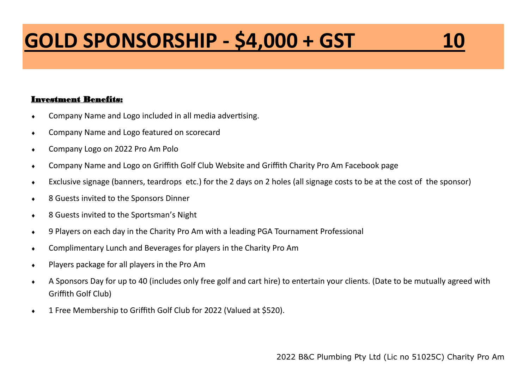# **GOLD SPONSORSHIP - \$4,000 + GST 10**

- Company Name and Logo included in all media advertising.
- **Company Name and Logo featured on scorecard**
- Company Logo on 2022 Pro Am Polo
- Company Name and Logo on Griffith Golf Club Website and Griffith Charity Pro Am Facebook page
- Exclusive signage (banners, teardrops etc.) for the 2 days on 2 holes (all signage costs to be at the cost of the sponsor)
- 8 Guests invited to the Sponsors Dinner
- ◆ 8 Guests invited to the Sportsman's Night
- 9 Players on each day in the Charity Pro Am with a leading PGA Tournament Professional
- Complimentary Lunch and Beverages for players in the Charity Pro Am
- Players package for all players in the Pro Am
- A Sponsors Day for up to 40 (includes only free golf and cart hire) to entertain your clients. (Date to be mutually agreed with Griffith Golf Club)
- 1 Free Membership to Griffith Golf Club for 2022 (Valued at \$520).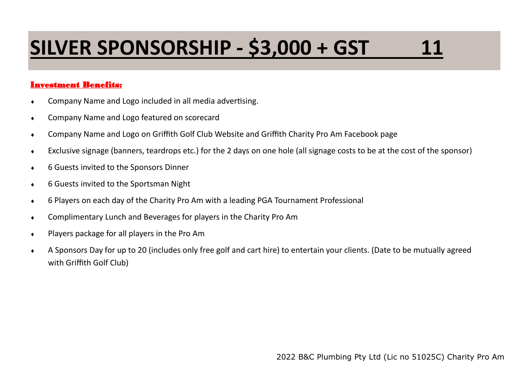# **SILVER SPONSORSHIP - \$3,000 + GST 11**

- Company Name and Logo included in all media advertising.
- **Company Name and Logo featured on scorecard**
- Company Name and Logo on Griffith Golf Club Website and Griffith Charity Pro Am Facebook page
- Exclusive signage (banners, teardrops etc.) for the 2 days on one hole (all signage costs to be at the cost of the sponsor)
- 6 Guests invited to the Sponsors Dinner
- 6 Guests invited to the Sportsman Night
- 6 Players on each day of the Charity Pro Am with a leading PGA Tournament Professional
- Complimentary Lunch and Beverages for players in the Charity Pro Am
- ◆ Players package for all players in the Pro Am
- A Sponsors Day for up to 20 (includes only free golf and cart hire) to entertain your clients. (Date to be mutually agreed with Griffith Golf Club)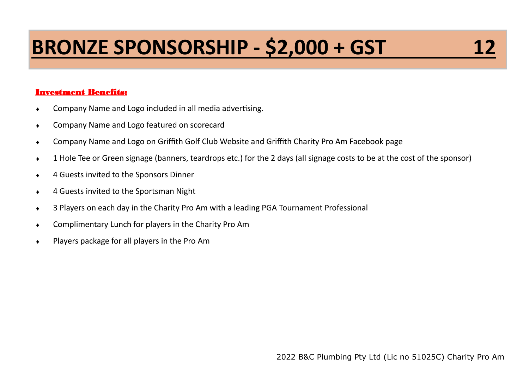# **BRONZE SPONSORSHIP - \$2,000 + GST**

- Company Name and Logo included in all media advertising.
- Company Name and Logo featured on scorecard
- Company Name and Logo on Griffith Golf Club Website and Griffith Charity Pro Am Facebook page
- 1 Hole Tee or Green signage (banners, teardrops etc.) for the 2 days (all signage costs to be at the cost of the sponsor)
- 4 Guests invited to the Sponsors Dinner
- 4 Guests invited to the Sportsman Night
- 3 Players on each day in the Charity Pro Am with a leading PGA Tournament Professional
- Complimentary Lunch for players in the Charity Pro Am
- Players package for all players in the Pro Am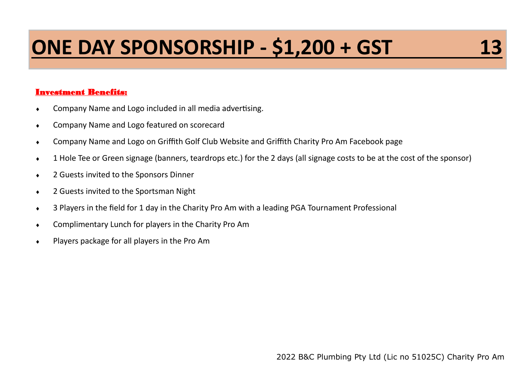# **ONE DAY SPONSORSHIP - \$1,200 + GST**

#### Investment Benefits:

- Company Name and Logo included in all media advertising.
- Company Name and Logo featured on scorecard
- Company Name and Logo on Griffith Golf Club Website and Griffith Charity Pro Am Facebook page
- 1 Hole Tee or Green signage (banners, teardrops etc.) for the 2 days (all signage costs to be at the cost of the sponsor)
- 2 Guests invited to the Sponsors Dinner
- ◆ 2 Guests invited to the Sportsman Night
- 3 Players in the field for 1 day in the Charity Pro Am with a leading PGA Tournament Professional
- Complimentary Lunch for players in the Charity Pro Am
- Players package for all players in the Pro Am

2022 B&C Plumbing Pty Ltd (Lic no 51025C) Charity Pro Am